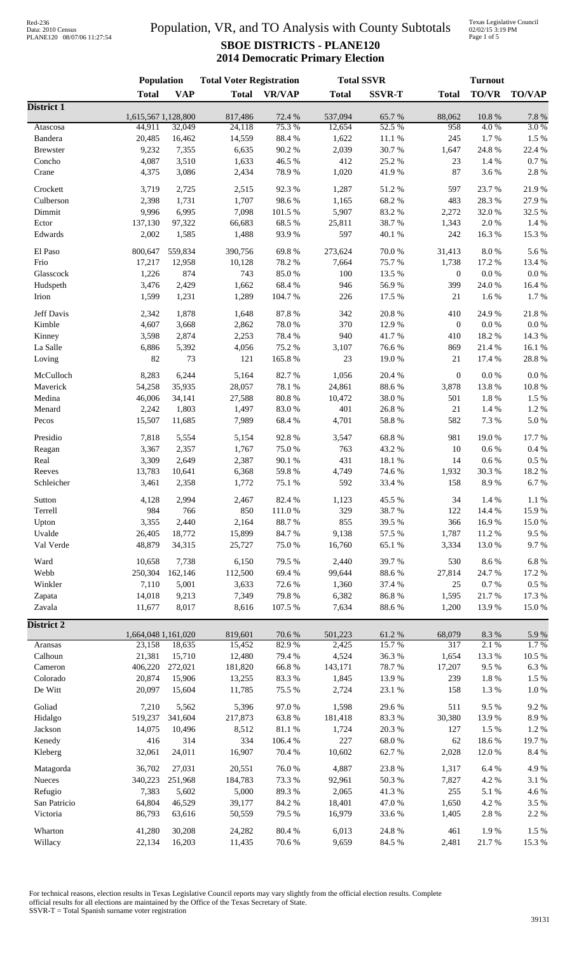Texas Legislative Council 02/02/15 3:19 PM Page 1 of 5

|                      | Population                    |            | <b>Total Voter Registration</b> |                  | <b>Total SSVR</b> |                 |                  | <b>Turnout</b>    |                  |
|----------------------|-------------------------------|------------|---------------------------------|------------------|-------------------|-----------------|------------------|-------------------|------------------|
|                      | <b>Total</b>                  | <b>VAP</b> | <b>Total</b>                    | <b>VR/VAP</b>    | <b>Total</b>      | <b>SSVR-T</b>   | <b>Total</b>     | <b>TO/VR</b>      | <b>TO/VAP</b>    |
| District 1           |                               |            |                                 |                  |                   |                 |                  |                   |                  |
| Atascosa             | 1,615,567 1,128,800<br>44,911 | 32,049     | 817,486<br>24,118               | 72.4 %<br>75.3%  | 537,094<br>12,654 | 65.7%<br>52.5 % | 88,062<br>958    | $10.8~\%$<br>4.0% | $7.8~\%$<br>3.0% |
| Bandera              | 20,485                        | 16,462     | 14,559                          | 88.4%            | 1,622             | $11.1\ \%$      | 245              | 1.7%              | $1.5~\%$         |
| <b>Brewster</b>      | 9,232                         | 7,355      | 6,635                           | 90.2%            | 2,039             | 30.7%           | 1,647            | 24.8 %            | 22.4 %           |
| Concho               | 4,087                         | 3,510      | 1,633                           | 46.5 %           | 412               | 25.2 %          | 23               | 1.4 %             | $0.7~\%$         |
| Crane                | 4,375                         | 3,086      | 2,434                           | 78.9%            | 1,020             | 41.9%           | 87               | 3.6 %             | $2.8\ \%$        |
| Crockett             | 3,719                         | 2,725      | 2,515                           | 92.3%            | 1,287             | 51.2%           | 597              | 23.7%             | 21.9%            |
| Culberson            | 2,398                         | 1,731      | 1,707                           | 98.6%            | 1,165             | 68.2%           | 483              | 28.3%             | 27.9%            |
| Dimmit               | 9,996                         | 6,995      | 7,098                           | 101.5 %          | 5,907             | 83.2%           | 2,272            | 32.0%             | 32.5 %           |
| Ector                | 137,130                       | 97,322     | 66,683                          | 68.5%            | 25,811            | 38.7%           | 1,343            | 2.0%              | 1.4 %            |
| Edwards              | 2,002                         | 1,585      | 1,488                           | 93.9%            | 597               | 40.1 %          | 242              | 16.3%             | 15.3 %           |
|                      |                               |            |                                 |                  |                   |                 |                  |                   |                  |
| El Paso              | 800,647                       | 559,834    | 390,756                         | 69.8%            | 273,624           | 70.0%           | 31,413           | $8.0\ \%$         | 5.6%             |
| Frio                 | 17,217                        | 12,958     | 10,128                          | 78.2%            | 7,664             | 75.7%           | 1,738            | 17.2 %            | 13.4 %           |
| Glasscock            | 1,226                         | 874        | 743                             | 85.0%            | 100               | 13.5 %          | $\mathbf{0}$     | $0.0\ \%$         | $0.0\ \%$        |
| Hudspeth             | 3,476                         | 2,429      | 1,662                           | 68.4%            | 946               | 56.9%           | 399              | 24.0 %            | 16.4%            |
| Irion                | 1,599                         | 1,231      | 1,289                           | 104.7%           | 226               | 17.5 %          | 21               | 1.6%              | 1.7%             |
| Jeff Davis           | 2,342                         | 1,878      | 1,648                           | 87.8%            | 342               | 20.8 %          | 410              | 24.9%             | 21.8%            |
| Kimble               | 4,607                         | 3,668      | 2,862                           | 78.0%            | 370               | 12.9%           | $\boldsymbol{0}$ | $0.0\ \%$         | $0.0\ \%$        |
| Kinney               | 3,598                         | 2,874      | 2,253                           | 78.4%            | 940               | 41.7%           | 410              | 18.2 %            | 14.3 %           |
| La Salle             | 6,886                         | 5,392      | 4,056                           | 75.2 %           | 3,107             | 76.6%           | 869              | 21.4 %            | 16.1%            |
| Loving               | 82                            | 73         | 121                             | 165.8%           | 23                | 19.0%           | 21               | 17.4 %            | 28.8 %           |
| McCulloch            | 8,283                         | 6,244      | 5,164                           | 82.7%            | 1,056             | 20.4 %          | $\boldsymbol{0}$ | 0.0 %             | $0.0\ \%$        |
| Maverick             | 54,258                        | 35,935     | 28,057                          | 78.1 %           | 24,861            | 88.6%           | 3,878            | 13.8%             | $10.8~\%$        |
| Medina               | 46,006                        | 34,141     | 27,588                          | $80.8~\%$        | 10,472            | 38.0%           | 501              | 1.8 %             | 1.5 %            |
| Menard               | 2,242                         | 1,803      | 1,497                           | 83.0%            | 401               | 26.8%           | 21               | 1.4 %             | $1.2~\%$         |
| Pecos                | 15,507                        | 11,685     | 7,989                           | 68.4%            | 4,701             | 58.8 %          | 582              | 7.3 %             | $5.0\ \%$        |
|                      |                               |            |                                 |                  |                   |                 |                  |                   |                  |
| Presidio             | 7,818                         | 5,554      | 5,154                           | 92.8%            | 3,547             | 68.8%           | 981              | 19.0%             | 17.7%            |
| Reagan               | 3,367                         | 2,357      | 1,767                           | 75.0%            | 763               | 43.2 %          | 10               | $0.6\,\%$         | $0.4~\%$         |
| Real                 | 3,309                         | 2,649      | 2,387                           | 90.1%            | 431               | 18.1 %          | 14               | $0.6\,\%$         | $0.5~\%$         |
| Reeves<br>Schleicher | 13,783<br>3,461               | 10,641     | 6,368<br>1,772                  | 59.8 %<br>75.1 % | 4,749<br>592      | 74.6%<br>33.4 % | 1,932<br>158     | 30.3%<br>8.9%     | 18.2%<br>6.7%    |
|                      |                               | 2,358      |                                 |                  |                   |                 |                  |                   |                  |
| Sutton               | 4,128                         | 2,994      | 2,467                           | 82.4 %           | 1,123             | 45.5 %          | 34               | 1.4 %             | $1.1~\%$         |
| Terrell              | 984                           | 766        | 850                             | 111.0%           | 329               | 38.7%           | 122              | 14.4 %            | 15.9%            |
| Upton                | 3,355                         | 2,440      | 2,164                           | 88.7%            | 855               | 39.5 %          | 366              | 16.9%             | $15.0\ \%$       |
| Uvalde               | 26,405                        | 18,772     | 15,899                          | 84.7%            | 9,138             | 57.5 %          | 1,787            | 11.2%             | 9.5%             |
| Val Verde            | 48,879                        | 34,315     | 25,727                          | 75.0%            | 16,760            | 65.1%           | 3,334            | 13.0%             | 9.7%             |
| Ward                 | 10,658                        | 7,738      | 6,150                           | 79.5 %           | 2,440             | 39.7%           | 530              | 8.6%              | $6.8~\%$         |
| Webb                 | 250,304                       | 162,146    | 112,500                         | 69.4%            | 99,644            | 88.6%           | 27,814           | 24.7%             | 17.2 %           |
| Winkler              | 7,110                         | 5,001      | 3,633                           | 72.6%            | 1,360             | 37.4 %          | 25               | $0.7~\%$          | $0.5~\%$         |
| Zapata               | 14,018                        | 9,213      | 7,349                           | 79.8%            | 6,382             | 86.8%           | 1,595            | 21.7%             | 17.3 %           |
| Zavala               | 11,677                        | 8,017      | 8,616                           | 107.5 %          | 7,634             | 88.6%           | 1,200            | 13.9%             | 15.0%            |
| <b>District 2</b>    |                               |            |                                 |                  |                   |                 |                  |                   |                  |
|                      | 1,664,048 1,161,020           |            | 819,601                         | 70.6%            | 501,223           | 61.2%           | 68,079           | 8.3%              | 5.9%             |
| Aransas              | 23,158                        | 18,635     | 15,452                          | 82.9%            | 2,425             | 15.7%           | 317              | 2.1%              | 1.7%             |
| Calhoun              | 21,381                        | 15,710     | 12,480                          | 79.4 %           | 4,524             | 36.3%           | 1,654            | 13.3 %            | 10.5 %           |
| Cameron              | 406,220                       | 272,021    | 181,820                         | 66.8 %           | 143,171           | 78.7%           | 17,207           | 9.5%              | 6.3%             |
| Colorado             | 20,874                        | 15,906     | 13,255                          | 83.3%            | 1,845             | 13.9%           | 239              | 1.8 %             | 1.5 %            |
| De Witt              | 20,097                        | 15,604     | 11,785                          | 75.5 %           | 2,724             | 23.1 %          | 158              | $1.3~\%$          | $1.0\ \%$        |
|                      |                               | 5,562      |                                 |                  |                   |                 |                  | 9.5%              | 9.2%             |
| Goliad<br>Hidalgo    | 7,210<br>519,237              | 341,604    | 5,396<br>217,873                | 97.0%<br>63.8%   | 1,598<br>181,418  | 29.6%<br>83.3%  | 511<br>30,380    | 13.9%             | 8.9%             |
| Jackson              | 14,075                        | 10,496     | 8,512                           | 81.1 %           | 1,724             | 20.3 %          | 127              | 1.5 %             | 1.2%             |
| Kenedy               | 416                           | 314        | 334                             | 106.4 %          | 227               | $68.0\ \%$      | 62               | 18.6%             | 19.7%            |
| Kleberg              | 32,061                        | 24,011     | 16,907                          | 70.4 %           | 10,602            | 62.7%           | 2,028            | $12.0\ \%$        | 8.4 %            |
|                      |                               |            |                                 |                  |                   |                 |                  |                   |                  |
| Matagorda            | 36,702                        | 27,031     | 20,551                          | $76.0\;\%$       | 4,887             | 23.8 %          | 1,317            | $6.4~\%$          | 4.9%             |
| Nueces               | 340,223                       | 251,968    | 184,783                         | 73.3 %           | 92,961            | $50.3\ \%$      | 7,827            | 4.2 %             | 3.1 %            |
| Refugio              | 7,383                         | 5,602      | 5,000                           | 89.3%            | 2,065             | 41.3 %          | 255              | 5.1 %             | 4.6 %            |
| San Patricio         | 64,804                        | 46,529     | 39,177                          | 84.2 %           | 18,401            | 47.0 %          | 1,650            | 4.2 %             | 3.5 %            |
| Victoria             | 86,793                        | 63,616     | 50,559                          | 79.5 %           | 16,979            | 33.6%           | 1,405            | $2.8\ \%$         | 2.2 %            |
| Wharton              | 41,280                        | 30,208     | 24,282                          | 80.4%            | 6,013             | 24.8 %          | 461              | 1.9%              | 1.5 %            |
| Willacy              | 22,134                        | 16,203     | 11,435                          | 70.6%            | 9,659             | 84.5 %          | 2,481            | $21.7\ \%$        | 15.3 %           |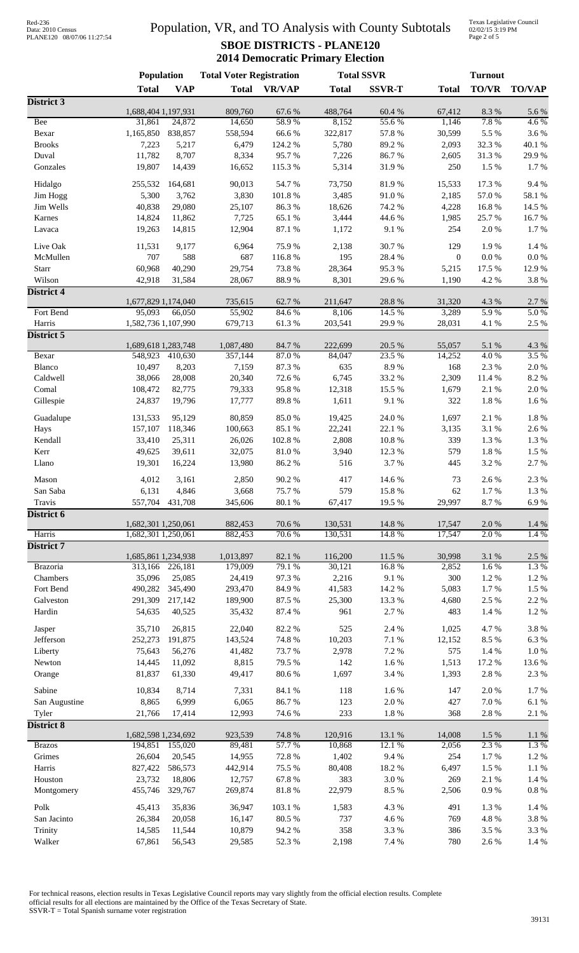# Data: 2010 Census PLANE120 08/07/06 11:27:54

## Population, VR, and TO Analysis with County Subtotals **SBOE DISTRICTS - PLANE120 2014 Democratic Primary Election**

Texas Legislative Council 02/02/15 3:19 PM Page 2 of 5

|                   | <b>Population</b>              |                   | <b>Total Voter Registration</b> |                | <b>Total SSVR</b> |                  |                  | <b>Turnout</b> |               |
|-------------------|--------------------------------|-------------------|---------------------------------|----------------|-------------------|------------------|------------------|----------------|---------------|
|                   | <b>Total</b>                   | <b>VAP</b>        | <b>Total</b>                    | <b>VR/VAP</b>  | <b>Total</b>      | <b>SSVR-T</b>    | <b>Total</b>     | <b>TO/VR</b>   | <b>TO/VAP</b> |
| District 3        |                                |                   |                                 |                |                   |                  |                  |                |               |
|                   | 1,688,404 1,197,931            |                   | 809,760                         | 67.6%          | 488,764           | 60.4%            | 67,412           | 8.3 %          | 5.6 %         |
| Bee<br>Bexar      | 31,861<br>1,165,850            | 24,872<br>838,857 | 14,650<br>558,594               | 58.9%<br>66.6% | 8,152<br>322,817  | 55.6%<br>57.8 %  | 1,146<br>30,599  | 7.8%<br>5.5 %  | 4.6%<br>3.6%  |
| <b>Brooks</b>     | 7,223                          | 5,217             | 6,479                           | 124.2 %        | 5,780             | 89.2%            | 2,093            | 32.3 %         | 40.1 %        |
| Duval             | 11,782                         | 8,707             | 8,334                           | 95.7%          | 7,226             | 86.7%            | 2,605            | 31.3%          | 29.9%         |
| Gonzales          | 19,807                         | 14,439            | 16,652                          | 115.3%         | 5,314             | 31.9%            | 250              | 1.5 %          | 1.7%          |
|                   |                                |                   |                                 |                |                   |                  |                  |                |               |
| Hidalgo           | 255,532                        | 164,681           | 90,013                          | 54.7 %         | 73,750            | 81.9%            | 15,533           | 17.3 %         | 9.4%          |
| Jim Hogg          | 5,300                          | 3,762             | 3,830                           | 101.8%         | 3,485             | 91.0%            | 2,185            | 57.0 %         | 58.1 %        |
| Jim Wells         | 40,838                         | 29,080            | 25,107                          | 86.3%          | 18,626            | 74.2 %           | 4,228            | 16.8%          | 14.5 %        |
| Karnes            | 14,824                         | 11,862            | 7,725                           | 65.1 %         | 3,444             | 44.6%            | 1,985            | 25.7%          | 16.7%         |
| Lavaca            | 19,263                         | 14,815            | 12,904                          | 87.1 %         | 1,172             | $9.1\ \%$        | 254              | 2.0%           | 1.7%          |
| Live Oak          | 11,531                         | 9,177             | 6,964                           | 75.9%          | 2,138             | 30.7%            | 129              | 1.9%           | 1.4%          |
| McMullen          | 707                            | 588               | 687                             | 116.8%         | 195               | 28.4 %           | $\boldsymbol{0}$ | $0.0\ \%$      | $0.0\ \%$     |
| Starr             | 60,968                         | 40,290            | 29,754                          | 73.8%          | 28,364            | 95.3%            | 5,215            | 17.5 %         | 12.9%         |
| Wilson            | 42,918                         | 31,584            | 28,067                          | 88.9%          | 8,301             | 29.6%            | 1,190            | 4.2 %          | 3.8 %         |
| District 4        |                                |                   |                                 |                |                   |                  |                  |                |               |
|                   | 1,677,829 1,174,040            |                   | 735,615                         | 62.7%          | 211,647           | 28.8%            | 31,320           | 4.3 %          | 2.7 %         |
| Fort Bend         | 95,093                         | 66,050            | 55,902                          | 84.6%          | 8,106             | 14.5 %           | 3,289            | 5.9%           | 5.0%          |
| Harris            | 1,582,736 1,107,990            |                   | 679,713                         | 61.3%          | 203,541           | 29.9%            | 28,031           | 4.1%           | $2.5~\%$      |
| District 5        |                                |                   |                                 |                |                   |                  |                  |                |               |
| Bexar             | 1,689,618 1,283,748<br>548,923 | 410,630           | 1,087,480<br>357,144            | 84.7%<br>87.0% | 222,699<br>84,047 | 20.5 %<br>23.5 % | 55,057<br>14,252 | 5.1 %<br>4.0%  | 4.3 %<br>3.5% |
| Blanco            | 10,497                         | 8,203             | 7,159                           | 87.3 %         | 635               | 8.9%             | 168              | 2.3 %          | $2.0\ \%$     |
| Caldwell          | 38,066                         | 28,008            | 20,340                          | 72.6%          | 6,745             | 33.2 %           | 2,309            | 11.4 %         | 8.2 %         |
| Comal             | 108,472                        | 82,775            | 79,333                          | 95.8%          | 12,318            | 15.5 %           | 1,679            | 2.1 %          | $2.0\ \%$     |
| Gillespie         | 24,837                         | 19,796            | 17,777                          | 89.8%          | 1,611             | $9.1\ \%$        | 322              | 1.8 %          | 1.6%          |
|                   |                                |                   |                                 |                |                   |                  |                  |                |               |
| Guadalupe         | 131,533                        | 95,129            | 80,859                          | 85.0%          | 19,425            | 24.0 %           | 1,697            | 2.1 %          | $1.8~\%$      |
| Hays              | 157,107                        | 118,346           | 100,663                         | 85.1%          | 22,241            | 22.1 %           | 3,135            | 3.1 %          | 2.6 %         |
| Kendall           | 33,410                         | 25,311            | 26,026                          | 102.8%         | 2,808             | $10.8~\%$        | 339              | 1.3 %          | $1.3~\%$      |
| Kerr              | 49,625                         | 39,611            | 32,075                          | 81.0%          | 3,940             | 12.3 %           | 579              | 1.8 %          | 1.5 %         |
| Llano             | 19,301                         | 16,224            | 13,980                          | 86.2%          | 516               | 3.7%             | 445              | 3.2%           | 2.7 %         |
| Mason             | 4,012                          | 3,161             | 2,850                           | 90.2%          | 417               | 14.6 %           | 73               | 2.6 %          | 2.3 %         |
| San Saba          | 6,131                          | 4,846             | 3,668                           | 75.7%          | 579               | 15.8 %           | 62               | 1.7%           | 1.3 %         |
| Travis            | 557,704                        | 431,708           | 345,606                         | $80.1~\%$      | 67,417            | 19.5 %           | 29,997           | 8.7%           | 6.9%          |
| District 6        |                                |                   |                                 |                |                   |                  |                  |                |               |
|                   | 1,682,301 1,250,061            |                   | 882,453                         | 70.6 %         | 130,531           | 14.8 %           | 17,547           | 2.0%           | $1.4~\%$      |
| Harris            | 1,682,301 1,250,061            |                   | 882,453                         | 70.6%          | 130,531           | 14.8%            | 17,547           | 2.0%           | 1.4 %         |
| <b>District 7</b> |                                |                   |                                 |                |                   |                  |                  |                |               |
|                   | 1,685,861 1,234,938            |                   | 1,013,897                       | 82.1 %         | 116,200           | 11.5 %           | 30,998           | 3.1 %          | 2.5 %         |
| <b>Brazoria</b>   | 313,166                        | 226,181           | 179,009                         | 79.1 %         | 30,121            | 16.8%            | 2,852            | 1.6%           | 1.3%          |
| Chambers          | 35,096                         | 25,085            | 24,419                          | 97.3%          | 2,216             | 9.1%             | 300              | 1.2%           | 1.2%          |
| Fort Bend         | 490,282                        | 345,490           | 293,470                         | 84.9%          | 41,583            | 14.2 %           | 5,083            | 1.7%           | $1.5~\%$      |
| Galveston         | 291,309                        | 217,142           | 189,900                         | 87.5 %         | 25,300            | 13.3 %           | 4,680            | 2.5 %          | 2.2 %         |
| Hardin            | 54,635                         | 40,525            | 35,432                          | 87.4 %         | 961               | 2.7 %            | 483              | 1.4 %          | 1.2%          |
| Jasper            | 35,710                         | 26,815            | 22,040                          | 82.2%          | 525               | 2.4 %            | 1,025            | 4.7%           | 3.8%          |
| Jefferson         | 252,273                        | 191,875           | 143,524                         | 74.8%          | 10,203            | 7.1 %            | 12,152           | 8.5 %          | 6.3%          |
| Liberty           | 75,643                         | 56,276            | 41,482                          | 73.7%          | 2,978             | 7.2 %            | 575              | 1.4 %          | $1.0\ \%$     |
| Newton            | 14,445                         | 11,092            | 8,815                           | 79.5 %         | 142               | 1.6%             | 1,513            | 17.2 %         | 13.6 %        |
| Orange            | 81,837                         | 61,330            | 49,417                          | 80.6%          | 1,697             | 3.4 %            | 1,393            | 2.8%           | 2.3 %         |
| Sabine            | 10,834                         | 8,714             | 7,331                           | 84.1 %         | 118               | 1.6%             | 147              | 2.0%           | 1.7%          |
| San Augustine     | 8,865                          | 6,999             | 6,065                           | 86.7%          | 123               | $2.0\ \%$        | 427              | $7.0\ \%$      | $6.1~\%$      |
| Tyler             | 21,766                         | 17,414            | 12,993                          | 74.6 %         | 233               | $1.8~\%$         | 368              | 2.8 %          | 2.1 %         |
| <b>District 8</b> |                                |                   |                                 |                |                   |                  |                  |                |               |
|                   | 1,682,598 1,234,692            |                   | 923,539                         | 74.8%          | 120,916           | 13.1 %           | 14,008           | 1.5 %          | $1.1\ \%$     |
| <b>Brazos</b>     |                                | 194,851 155,020   | 89,481                          | 57.7 %         | 10,868            | 12.1 %           | 2,056            | 2.3 %          | 1.3%          |
| Grimes            | 26,604                         | 20,545            | 14,955                          | 72.8%          | 1,402             | 9.4%             | 254              | $1.7~\%$       | $1.2~\%$      |
| Harris            | 827,422                        | 586,573           | 442,914                         | 75.5 %         | 80,408            | 18.2 %           | 6,497            | 1.5 %          | $1.1~\%$      |
| Houston           | 23,732                         | 18,806            | 12,757                          | 67.8%          | 383               | 3.0%             | 269              | 2.1 %          | $1.4~\%$      |
| Montgomery        | 455,746                        | 329,767           | 269,874                         | 81.8%          | 22,979            | 8.5 %            | 2,506            | $0.9\ \%$      | $0.8\ \%$     |
| Polk              | 45,413                         | 35,836            | 36,947                          | 103.1 %        | 1,583             | 4.3 %            | 491              | 1.3%           | $1.4~\%$      |
| San Jacinto       | 26,384                         | 20,058            | 16,147                          | 80.5 %         | 737               | 4.6 %            | 769              | 4.8%           | 3.8 %         |
| Trinity           | 14,585                         | 11,544            | 10,879                          | 94.2%          | 358               | 3.3%             | 386              | 3.5 %          | 3.3 %         |
| Walker            | 67,861                         | 56,543            | 29,585                          | 52.3 %         | 2,198             | 7.4 %            | 780              | 2.6 %          | 1.4 %         |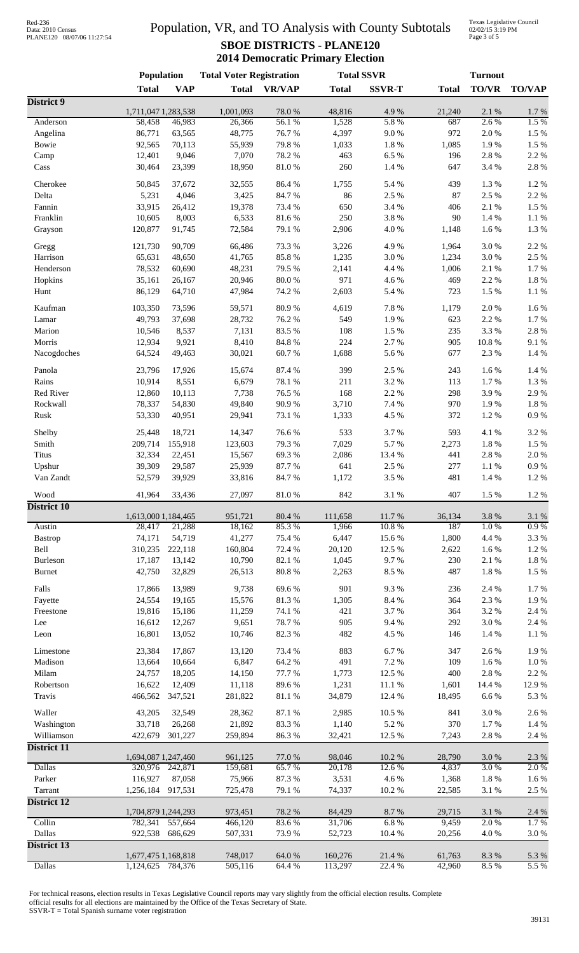Texas Legislative Council 02/02/15 3:19 PM Page 3 of 5

|                     | Population                    |                  | <b>Total Voter Registration</b> |                  | <b>Total SSVR</b> |               | <b>Turnout</b> |                   |                   |
|---------------------|-------------------------------|------------------|---------------------------------|------------------|-------------------|---------------|----------------|-------------------|-------------------|
|                     | <b>Total</b>                  | <b>VAP</b>       | <b>Total</b>                    | <b>VR/VAP</b>    | <b>Total</b>      | <b>SSVR-T</b> | <b>Total</b>   | TO/VR             | <b>TO/VAP</b>     |
| District 9          |                               |                  |                                 |                  |                   |               |                |                   |                   |
| Anderson            | 1,711,047 1,283,538<br>58,458 | 46,983           | 1,001,093<br>26,366             | 78.0%<br>56.1%   | 48,816<br>1,528   | 4.9%<br>5.8%  | 21,240<br>687  | 2.1 %<br>2.6%     | 1.7 %<br>1.5 %    |
| Angelina            | 86,771                        | 63,565           | 48,775                          | 76.7%            | 4,397             | 9.0 %         | 972            | 2.0%              | 1.5 %             |
| Bowie               | 92,565                        | 70,113           | 55,939                          | 79.8%            | 1,033             | 1.8 %         | 1,085          | 1.9%              | 1.5 %             |
| Camp                | 12,401                        | 9,046            | 7,070                           | 78.2 %           | 463               | 6.5%          | 196            | 2.8 %             | 2.2 %             |
| Cass                | 30,464                        | 23,399           | 18,950                          | 81.0%            | 260               | 1.4 %         | 647            | 3.4 %             | 2.8%              |
| Cherokee            |                               | 37,672           | 32,555                          | 86.4%            | 1,755             | 5.4 %         | 439            | 1.3 %             | 1.2%              |
| Delta               | 50,845<br>5,231               | 4,046            | 3,425                           | 84.7%            | 86                | 2.5 %         | 87             | 2.5 %             | 2.2 %             |
| Fannin              | 33,915                        | 26,412           | 19,378                          | 73.4 %           | 650               | 3.4 %         | 406            | 2.1 %             | 1.5 %             |
| Franklin            | 10,605                        | 8,003            | 6,533                           | 81.6%            | 250               | 3.8%          | 90             | 1.4 %             | 1.1 %             |
| Grayson             | 120,877                       | 91,745           | 72,584                          | 79.1 %           | 2,906             | 4.0%          | 1,148          | 1.6%              | 1.3%              |
| Gregg               | 121,730                       | 90,709           | 66,486                          | 73.3 %           | 3,226             | 4.9%          | 1,964          | 3.0%              | 2.2 %             |
| Harrison            | 65,631                        | 48,650           | 41,765                          | 85.8%            | 1,235             | 3.0%          | 1,234          | 3.0%              | 2.5 %             |
| Henderson           | 78,532                        | 60,690           | 48,231                          | 79.5 %           | 2,141             | 4.4 %         | 1,006          | $2.1~\%$          | 1.7%              |
| Hopkins             | 35,161                        | 26,167           | 20,946                          | $80.0\ \%$       | 971               | 4.6%          | 469            | 2.2 %             | 1.8%              |
| Hunt                | 86,129                        | 64,710           | 47,984                          | 74.2 %           | 2,603             | 5.4 %         | 723            | $1.5~\%$          | 1.1%              |
| Kaufman             |                               |                  |                                 |                  |                   |               |                |                   |                   |
| Lamar               | 103,350<br>49,793             | 73,596<br>37,698 | 59,571<br>28,732                | 80.9%<br>76.2%   | 4,619<br>549      | 7.8%<br>1.9%  | 1,179<br>623   | 2.0%<br>2.2 %     | 1.6%<br>$1.7~\%$  |
| Marion              | 10,546                        | 8,537            | 7,131                           | 83.5%            | 108               | 1.5 %         | 235            | 3.3%              | 2.8 %             |
| Morris              | 12,934                        | 9,921            | 8,410                           | 84.8%            | 224               | 2.7%          | 905            | 10.8 %            | 9.1%              |
| Nacogdoches         | 64,524                        | 49,463           | 30,021                          | 60.7%            | 1,688             | 5.6%          | 677            | 2.3 %             | 1.4 %             |
|                     |                               |                  |                                 |                  |                   |               |                |                   |                   |
| Panola              | 23,796                        | 17,926           | 15,674                          | 87.4 %           | 399               | 2.5 %         | 243            | 1.6%              | 1.4 %             |
| Rains<br>Red River  | 10,914                        | 8,551<br>10,113  | 6,679<br>7,738                  | 78.1 %<br>76.5 % | 211<br>168        | 3.2%<br>2.2 % | 113<br>298     | 1.7%<br>3.9%      | $1.3~\%$<br>2.9%  |
| Rockwall            | 12,860<br>78,337              | 54,830           | 49,840                          | 90.9%            | 3,710             | 7.4 %         | 970            | 1.9%              | 1.8%              |
| Rusk                | 53,330                        | 40,951           | 29,941                          | 73.1 %           | 1,333             | 4.5 %         | 372            | $1.2~\%$          | 0.9 %             |
|                     |                               |                  |                                 |                  |                   |               |                |                   |                   |
| Shelby              | 25,448                        | 18,721           | 14,347                          | 76.6%            | 533               | 3.7%          | 593            | 4.1 %             | 3.2%              |
| Smith               | 209,714                       | 155,918          | 123,603                         | 79.3 %           | 7,029             | 5.7%          | 2,273          | $1.8~\%$          | 1.5 %             |
| <b>Titus</b>        | 32,334                        | 22,451           | 15,567                          | 69.3%            | 2,086             | 13.4 %        | 441            | 2.8 %             | 2.0%              |
| Upshur<br>Van Zandt | 39,309<br>52,579              | 29,587<br>39,929 | 25,939<br>33,816                | 87.7%<br>84.7%   | 641<br>1,172      | 2.5 %<br>3.5% | 277<br>481     | $1.1~\%$<br>1.4 % | $0.9\ \%$<br>1.2% |
|                     |                               |                  |                                 |                  |                   |               |                |                   |                   |
| Wood                | 41,964                        | 33,436           | 27,097                          | $81.0\ \%$       | 842               | $3.1~\%$      | 407            | $1.5~\%$          | $1.2~\%$          |
| District 10         | 1,613,000 1,184,465           |                  | 951,721                         | 80.4%            | 111,658           | 11.7 %        | 36,134         | 3.8%              | 3.1 %             |
| Austin              | 28,417                        | 21,288           | 18,162                          | 85.3%            | 1,966             | 10.8%         | 187            | 1.0%              | $0.9\%$           |
| <b>Bastrop</b>      | 74,171                        | 54,719           | 41,277                          | 75.4 %           | 6,447             | 15.6%         | 1,800          | 4.4 %             | 3.3 %             |
| Bell                | 310,235                       | 222,118          | 160,804                         | 72.4 %           | 20,120            | 12.5 %        | 2,622          | $1.6\ \%$         | 1.2 %             |
| Burleson            | 17,187                        | 13,142           | 10,790                          | 82.1 %           | 1,045             | 9.7%          | 230            | 2.1 %             | $1.8~\%$          |
| <b>Burnet</b>       | 42,750                        | 32,829           | 26,513                          | $80.8~\%$        | 2,263             | 8.5 %         | 487            | $1.8~\%$          | $1.5\ \%$         |
| Falls               | 17,866                        | 13,989           | 9,738                           | 69.6%            | 901               | 9.3%          | 236            | 2.4 %             | $1.7~\%$          |
| Fayette             | 24,554                        | 19,165           | 15,576                          | 81.3 %           | 1,305             | $8.4\ \%$     | 364            | 2.3 %             | 1.9%              |
| Freestone           | 19,816                        | 15,186           | 11,259                          | 74.1 %           | 421               | 3.7%          | 364            | 3.2 %             | 2.4 %             |
| Lee                 | 16,612                        | 12,267           | 9,651                           | 78.7%            | 905               | 9.4%          | 292            | $3.0\ \%$         | 2.4 %             |
| Leon                | 16,801                        | 13,052           | 10,746                          | 82.3 %           | 482               | 4.5 %         | 146            | $1.4~\%$          | 1.1%              |
| Limestone           | 23,384                        | 17,867           | 13,120                          | 73.4 %           | 883               | 6.7%          | 347            | 2.6 %             | 1.9%              |
| Madison             | 13,664                        | 10,664           | 6,847                           | 64.2%            | 491               | 7.2 %         | 109            | $1.6\ \%$         | $1.0\ \%$         |
| Milam               | 24,757                        | 18,205           | 14,150                          | 77.7 %           | 1,773             | 12.5 %        | 400            | 2.8 %             | 2.2 %             |
| Robertson           | 16,622                        | 12,409           | 11,118                          | 89.6%            | 1,231             | 11.1%         | 1,601          | 14.4 %            | 12.9%             |
| Travis              | 466,562                       | 347,521          | 281,822                         | $81.1\text{ }\%$ | 34,879            | 12.4 %        | 18,495         | 6.6%              | 5.3 %             |
| Waller              | 43,205                        | 32,549           | 28,362                          | 87.1 %           | 2,985             | 10.5 %        | 841            | $3.0\ \%$         | 2.6 %             |
| Washington          | 33,718                        | 26,268           | 21,892                          | 83.3%            | 1,140             | 5.2 %         | 370            | $1.7~\%$          | 1.4 %             |
| Williamson          | 422,679                       | 301,227          | 259,894                         | 86.3%            | 32,421            | 12.5 %        | 7,243          | 2.8%              | 2.4 %             |
| District 11         |                               |                  |                                 |                  |                   |               |                |                   |                   |
|                     | 1,694,087 1,247,460           |                  | 961,125                         | 77.0%            | 98,046            | 10.2 %        | 28,790         | 3.0%              | 2.3 %             |
| <b>Dallas</b>       | 320,976                       | 242,871          | 159,681                         | 65.7%            | 20,178            | 12.6 %        | 4,837          | 3.0%              | 2.0%              |
| Parker              | 116,927                       | 87,058           | 75,966                          | 87.3 %           | 3,531             | 4.6%          | 1,368          | $1.8~\%$          | $1.6\ \%$         |
| Tarrant             | 1,256,184                     | 917,531          | 725,478                         | 79.1 %           | 74,337            | 10.2 %        | 22,585         | 3.1 %             | 2.5 %             |
| <b>District 12</b>  | 1,704,879 1,244,293           |                  | 973,451                         | 78.2%            | 84,429            | 8.7%          | 29,715         | 3.1 %             |                   |
| Collin              | 782,341                       | 557,664          | 466,120                         | 83.6%            | 31,706            | 6.8%          | 9,459          | 2.0%              | 2.4 %<br>1.7%     |
| Dallas              | 922,538                       | 686,629          | 507,331                         | 73.9%            | 52,723            | 10.4 %        | 20,256         | 4.0%              | $3.0\ \%$         |
| District 13         |                               |                  |                                 |                  |                   |               |                |                   |                   |
|                     | 1,677,475 1,168,818           |                  | 748,017                         | 64.0 %           | 160,276           | 21.4 %        | 61,763         | 8.3 %             | 5.3 %             |
| <b>Dallas</b>       | 1,124,625                     | 784,376          | 505,116                         | 64.4%            | 113,297           | 22.4 %        | 42,960         | 8.5%              | 5.5 %             |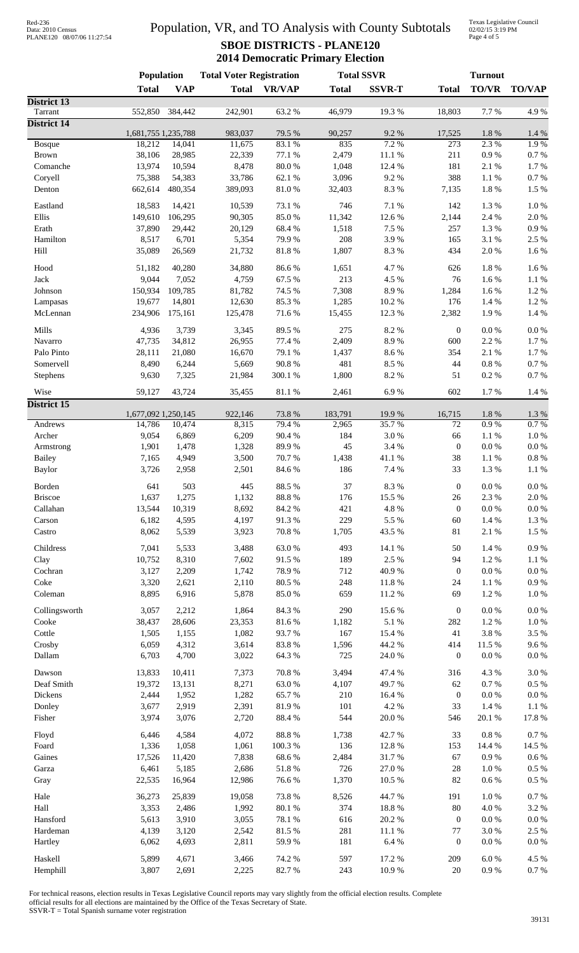| Red-236           |                            |
|-------------------|----------------------------|
| Data: 2010 Census |                            |
|                   | PLANE120 08/07/06 11:27:54 |

Texas Legislative Council 02/02/15 3:19 PM Page 4 of 5

|                        | <b>Population</b>             |                 | <b>Total Voter Registration</b> |                 | <b>Total SSVR</b> |                  | <b>Turnout</b>       |                     |                       |
|------------------------|-------------------------------|-----------------|---------------------------------|-----------------|-------------------|------------------|----------------------|---------------------|-----------------------|
|                        | <b>Total</b>                  | <b>VAP</b>      | <b>Total</b>                    | <b>VR/VAP</b>   | <b>Total</b>      | <b>SSVR-T</b>    | <b>Total</b>         | <b>TO/VR</b>        | <b>TO/VAP</b>         |
| District 13<br>Tarrant | 552,850                       | 384,442         | 242,901                         | 63.2%           | 46,979            | 19.3%            | 18,803               | 7.7%                | 4.9%                  |
| <b>District 14</b>     |                               |                 |                                 |                 |                   |                  |                      |                     |                       |
|                        | 1,681,755 1,235,788           |                 | 983,037                         | 79.5 %          | 90,257            | 9.2%             | 17,525               | 1.8 %               | $1.4~\%$              |
| <b>Bosque</b>          | 18,212                        | 14,041          | 11,675                          | 83.1 %          | 835               | 7.2 %            | $\overline{273}$     | 2.3%                | 1.9%                  |
| <b>Brown</b>           | 38,106                        | 28,985          | 22,339                          | 77.1 %          | 2,479             | $11.1\text{ }\%$ | 211<br>181           | $0.9\ \%$           | $0.7~\%$              |
| Comanche               | 13,974                        | 10,594          | 8,478                           | $80.0\;\%$      | 1,048             | 12.4 %           | 388                  | $2.1~\%$            | $1.7~\%$              |
| Coryell                | 75,388                        | 54,383          | 33,786                          | 62.1 %          | 3,096             | 9.2%             |                      | $1.1\ \%$           | $0.7~\%$              |
| Denton                 | 662,614                       | 480,354         | 389,093                         | $81.0\ \%$      | 32,403            | 8.3 %            | 7,135                | 1.8 %               | 1.5 %                 |
| Eastland               | 18,583                        | 14,421          | 10,539                          | 73.1 %          | 746               | 7.1 %            | 142                  | 1.3 %               | $1.0\ \%$             |
| Ellis                  | 149,610                       | 106,295         | 90,305                          | 85.0%           | 11,342            | 12.6 %           | 2,144                | 2.4 %               | $2.0\ \%$             |
| Erath                  | 37,890                        | 29,442          | 20,129                          | 68.4 %          | 1,518             | 7.5 %            | 257                  | 1.3 %               | $0.9\ \%$             |
| Hamilton               | 8,517                         | 6,701           | 5,354                           | 79.9%           | 208               | 3.9%             | 165                  | $3.1~\%$            | 2.5 %                 |
| Hill                   | 35,089                        | 26,569          | 21,732                          | $81.8\ \%$      | 1,807             | 8.3 %            | 434                  | $2.0\ \%$           | 1.6 %                 |
| Hood                   | 51,182                        | 40,280          | 34,880                          | 86.6%           | 1,651             | 4.7%             | 626                  | 1.8 %               | 1.6 %                 |
| Jack                   | 9,044                         | 7,052           | 4,759                           | 67.5 %          | 213               | 4.5 %            | 76                   | 1.6 %               | $1.1~\%$              |
| Johnson                | 150,934                       | 109,785         | 81,782                          | 74.5 %          | 7,308             | 8.9%             | 1,284                | 1.6 %               | 1.2%                  |
| Lampasas               | 19,677                        | 14,801          | 12,630                          | 85.3%           | 1,285             | $10.2~\%$        | 176                  | 1.4 %               | 1.2%                  |
| McLennan               | 234,906                       | 175,161         | 125,478                         | 71.6%           | 15,455            | 12.3 %           | 2,382                | 1.9%                | 1.4 %                 |
|                        |                               |                 |                                 |                 |                   |                  |                      |                     |                       |
| Mills                  | 4,936                         | 3,739           | 3,345                           | 89.5%           | 275               | 8.2%             | $\mathbf{0}$         | $0.0\ \%$           | $0.0\ \%$             |
| Navarro                | 47,735                        | 34,812          | 26,955                          | 77.4 %          | 2,409             | 8.9%             | 600                  | 2.2 %               | $1.7~\%$              |
| Palo Pinto             | 28,111                        | 21,080          | 16,670                          | 79.1 %          | 1,437             | 8.6 %            | 354                  | $2.1~\%$            | $1.7~\%$              |
| Somervell              | 8,490                         | 6,244           | 5,669                           | 90.8 %          | 481               | 8.5 %            | 44                   | $0.8~\%$            | $0.7~\%$              |
| Stephens               | 9,630                         | 7,325           | 21,984                          | 300.1 %         | 1,800             | 8.2 %            | 51                   | $0.2~\%$            | $0.7~\%$              |
| Wise                   | 59,127                        | 43,724          | 35,455                          | 81.1 %          | 2,461             | 6.9%             | 602                  | 1.7%                | 1.4 %                 |
| District 15            |                               |                 |                                 |                 |                   |                  |                      |                     |                       |
| Andrews                | 1,677,092 1,250,145<br>14,786 | 10,474          | 922,146<br>8,315                | 73.8%<br>79.4 % | 183,791<br>2,965  | 19.9%<br>35.7%   | 16,715<br>72         | 1.8 %<br>0.9%       | 1.3%<br>0.7 %         |
| Archer                 | 9,054                         | 6,869           | 6,209                           | 90.4 %          | 184               | 3.0%             | 66                   | 1.1%                | $1.0\ \%$             |
| Armstrong              | 1,901                         | 1,478           | 1,328                           | 89.9%           | 45                | 3.4 %            | $\mathbf{0}$         | $0.0\ \%$           | $0.0\ \%$             |
| <b>Bailey</b>          | 7,165                         | 4,949           | 3,500                           | 70.7%           | 1,438             | 41.1 %           | 38                   | $1.1~\%$            | $0.8~\%$              |
| <b>Baylor</b>          | 3,726                         | 2,958           | 2,501                           | 84.6%           | 186               | 7.4 %            | 33                   | 1.3 %               | 1.1%                  |
|                        |                               |                 |                                 |                 |                   |                  |                      |                     |                       |
| Borden                 | 641                           | 503             | 445                             | 88.5 %          | 37                | 8.3 %            | $\boldsymbol{0}$     | $0.0\ \%$           | $0.0\ \%$             |
| <b>Briscoe</b>         | 1,637                         | 1,275           | 1,132                           | 88.8 %          | 176               | 15.5 %           | 26<br>$\overline{0}$ | 2.3 %               | 2.0%                  |
| Callahan               | 13,544                        | 10,319          | 8,692                           | 84.2%           | 421               | 4.8 %            |                      | $0.0\ \%$           | $0.0\ \%$             |
| Carson                 | 6,182                         | 4,595           | 4,197                           | 91.3%           | 229               | 5.5 %            | 60                   | 1.4 %               | 1.3%                  |
| Castro                 | 8,062                         | 5,539           | 3,923                           | 70.8%           | 1,705             | 43.5 %           | 81                   | 2.1 %               | 1.5 %                 |
| Childress              | 7,041                         | 5,533           | 3,488                           | 63.0%           | 493               | 14.1 %           | 50                   | 1.4 %               | $0.9\ \%$             |
| Clay                   | 10,752                        | 8,310           | 7,602                           | 91.5 %          | 189               | 2.5 %            | 94                   | 1.2%                | 1.1 %                 |
| Cochran                | 3,127                         | 2,209           | 1,742                           | 78.9%           | 712               | 40.9%            | $\overline{0}$       | $0.0\ \%$           | $0.0\ \%$             |
| Coke                   | 3,320                         | 2,621           | 2,110                           | 80.5 %          | 248               | $11.8\ \%$       | 24                   | 1.1%                | $0.9\ \%$             |
| Coleman                | 8,895                         | 6,916           | 5,878                           | 85.0%           | 659               | 11.2 %           | 69                   | 1.2%                | $1.0\ \%$             |
| Collingsworth          | 3,057                         | 2,212           | 1,864                           | 84.3 %          | 290               | 15.6%            | $\boldsymbol{0}$     | $0.0\ \%$           | $0.0\ \%$             |
| Cooke                  | 38,437                        | 28,606          | 23,353                          | 81.6%           | 1,182             | 5.1 %            | 282                  | 1.2%                | 1.0%                  |
| Cottle                 | 1,505                         | 1,155           | 1,082                           | 93.7%           | 167               | 15.4 %           | 41                   | $3.8\ \%$           | 3.5 %                 |
| Crosby                 | 6,059                         | 4,312           | 3,614                           | 83.8%           | 1,596             | 44.2 %           | 414                  | 11.5 %              | 9.6%                  |
| Dallam                 | 6,703                         | 4,700           | 3,022                           | 64.3%           | 725               | 24.0%            | $\overline{0}$       | $0.0\ \%$           | 0.0 %                 |
| Dawson                 | 13,833                        | 10,411          | 7,373                           | 70.8%           | 3,494             | 47.4 %           | 316                  | 4.3 %               | 3.0%                  |
| Deaf Smith             | 19,372                        | 13,131          | 8,271                           | 63.0%           | 4,107             | 49.7%            | 62                   | 0.7 %               | $0.5~\%$              |
| Dickens                | 2,444                         | 1,952           | 1,282                           | 65.7%           | 210               | 16.4 %           | $\overline{0}$       | 0.0 %               | 0.0 %                 |
| Donley                 | 3,677                         | 2,919           | 2,391                           | 81.9%           | 101               | 4.2 %            | 33                   | 1.4 %               | 1.1 %                 |
| Fisher                 | 3,974                         | 3,076           | 2,720                           | 88.4%           | 544               | 20.0%            | 546                  | 20.1 %              | 17.8 %                |
|                        |                               |                 |                                 |                 |                   |                  |                      |                     |                       |
| Floyd                  | 6,446                         | 4,584           | 4,072                           | $88.8\ \%$      | 1,738             | 42.7 %           | 33                   | $0.8\ \%$           | 0.7 %                 |
| Foard                  | 1,336                         | 1,058           | 1,061                           | 100.3%          | 136               | 12.8%            | 153<br>67            | 14.4 %<br>$0.9\ \%$ | 14.5 %                |
| Gaines                 | 17,526<br>6,461               | 11,420          | 7,838                           | 68.6%           | 2,484<br>726      | 31.7%<br>27.0%   | $28\,$               | $1.0\ \%$           | $0.6\,\%$<br>$0.5~\%$ |
| Garza<br>Gray          | 22,535                        | 5,185<br>16,964 | 2,686<br>12,986                 | 51.8 %<br>76.6% | 1,370             | 10.5 %           | 82                   | $0.6\,\%$           | $0.5~\%$              |
|                        |                               | 25,839          |                                 | 73.8%           |                   | 44.7%            |                      |                     | $0.7\ \%$             |
| Hale<br>Hall           | 36,273<br>3,353               | 2,486           | 19,058<br>1,992                 | 80.1 %          | 8,526<br>374      | 18.8%            | 191<br>$80\,$        | 1.0%<br>4.0%        | 3.2 %                 |
| Hansford               | 5,613                         |                 |                                 | 78.1 %          | 616               | 20.2 %           | $\overline{0}$       | $0.0\ \%$           | $0.0\ \%$             |
| Hardeman               | 4,139                         | 3,910<br>3,120  | 3,055<br>2,542                  | 81.5%           | 281               | 11.1%            | 77                   | $3.0\ \%$           | 2.5 %                 |
| Hartley                | 6,062                         | 4,693           | 2,811                           | 59.9%           | 181               | 6.4 %            | $\overline{0}$       | 0.0 %               | $0.0\ \%$             |
|                        |                               |                 |                                 |                 |                   |                  |                      |                     |                       |
| Haskell                | 5,899                         | 4,671           | 3,466                           | 74.2 %          | 597               | 17.2 %           | 209                  | $6.0\ \%$           | 4.5 %                 |
| Hemphill               | 3,807                         | 2,691           | 2,225                           | 82.7%           | 243               | 10.9%            | $20\,$               | $0.9\ \%$           | $0.7~\%$              |